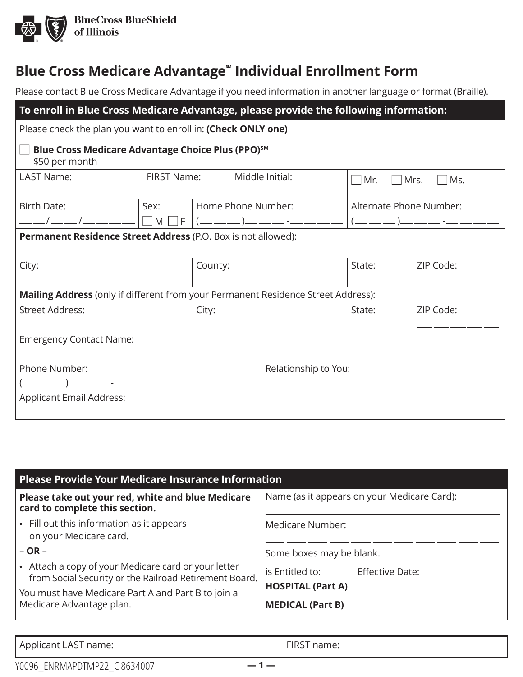

# **Blue Cross Medicare Advantage℠ Individual Enrollment Form**

Please contact Blue Cross Medicare Advantage if you need information in another language or format (Braille).

| To enroll in Blue Cross Medicare Advantage, please provide the following information: |                                       |                                                   |                    |                         |           |
|---------------------------------------------------------------------------------------|---------------------------------------|---------------------------------------------------|--------------------|-------------------------|-----------|
| Please check the plan you want to enroll in: (Check ONLY one)                         |                                       |                                                   |                    |                         |           |
| Blue Cross Medicare Advantage Choice Plus (PPO)SM<br>\$50 per month                   |                                       |                                                   |                    |                         |           |
| <b>LAST Name:</b>                                                                     | Middle Initial:<br><b>FIRST Name:</b> |                                                   | Mrs.<br>Ms.<br>Mr. |                         |           |
| <b>Birth Date:</b>                                                                    | Sex:                                  | Home Phone Number:                                |                    | Alternate Phone Number: |           |
|                                                                                       | $M \Box F$                            | (_____)_____-_-________   (______)_____ -________ |                    |                         |           |
| <b>Permanent Residence Street Address (P.O. Box is not allowed):</b>                  |                                       |                                                   |                    |                         |           |
| City:                                                                                 |                                       | County:                                           |                    | State:                  | ZIP Code: |
| Mailing Address (only if different from your Permanent Residence Street Address):     |                                       |                                                   |                    |                         |           |
| <b>Street Address:</b>                                                                | City:                                 |                                                   |                    | State:                  | ZIP Code: |
| <b>Emergency Contact Name:</b>                                                        |                                       |                                                   |                    |                         |           |
| Phone Number:<br>— )————- <u>—————</u>                                                |                                       | Relationship to You:                              |                    |                         |           |
| <b>Applicant Email Address:</b>                                                       |                                       |                                                   |                    |                         |           |

| <b>Please Provide Your Medicare Insurance Information</b>                                                      |                                                                |  |  |  |
|----------------------------------------------------------------------------------------------------------------|----------------------------------------------------------------|--|--|--|
| Please take out your red, white and blue Medicare<br>card to complete this section.                            | Name (as it appears on your Medicare Card):                    |  |  |  |
| • Fill out this information as it appears<br>on your Medicare card.                                            | Medicare Number:                                               |  |  |  |
| $- OR -$                                                                                                       | Some boxes may be blank.                                       |  |  |  |
| • Attach a copy of your Medicare card or your letter<br>from Social Security or the Railroad Retirement Board. | is Entitled to: Effective Date:<br>HOSPITAL (Part A) _________ |  |  |  |
| You must have Medicare Part A and Part B to join a<br>Medicare Advantage plan.                                 |                                                                |  |  |  |

Applicant LAST name: Applicant LAST name: FIRST name: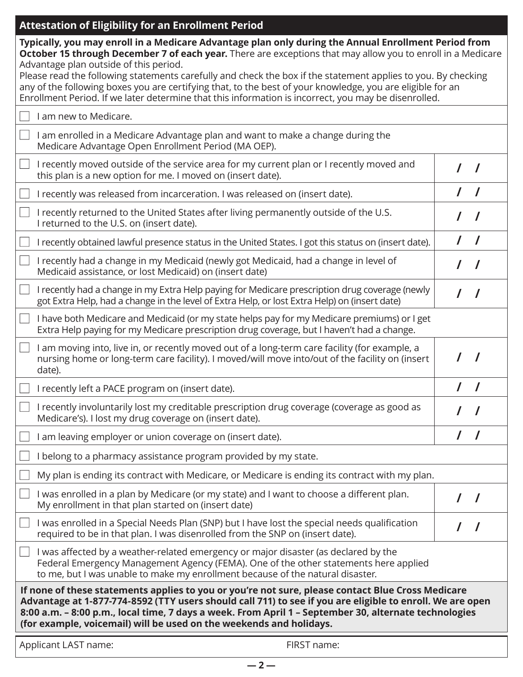| <b>Attestation of Eligibility for an Enrollment Period</b>                                                                                                                                                                                                                                                                                                                                                                                                                                                                                                                                           |            |  |  |  |
|------------------------------------------------------------------------------------------------------------------------------------------------------------------------------------------------------------------------------------------------------------------------------------------------------------------------------------------------------------------------------------------------------------------------------------------------------------------------------------------------------------------------------------------------------------------------------------------------------|------------|--|--|--|
| Typically, you may enroll in a Medicare Advantage plan only during the Annual Enrollment Period from<br>October 15 through December 7 of each year. There are exceptions that may allow you to enroll in a Medicare<br>Advantage plan outside of this period.<br>Please read the following statements carefully and check the box if the statement applies to you. By checking<br>any of the following boxes you are certifying that, to the best of your knowledge, you are eligible for an<br>Enrollment Period. If we later determine that this information is incorrect, you may be disenrolled. |            |  |  |  |
| I am new to Medicare.                                                                                                                                                                                                                                                                                                                                                                                                                                                                                                                                                                                |            |  |  |  |
| I am enrolled in a Medicare Advantage plan and want to make a change during the<br>Medicare Advantage Open Enrollment Period (MA OEP).                                                                                                                                                                                                                                                                                                                                                                                                                                                               |            |  |  |  |
| I recently moved outside of the service area for my current plan or I recently moved and<br>this plan is a new option for me. I moved on (insert date).                                                                                                                                                                                                                                                                                                                                                                                                                                              |            |  |  |  |
| I recently was released from incarceration. I was released on (insert date).                                                                                                                                                                                                                                                                                                                                                                                                                                                                                                                         |            |  |  |  |
| I recently returned to the United States after living permanently outside of the U.S.<br>I returned to the U.S. on (insert date).                                                                                                                                                                                                                                                                                                                                                                                                                                                                    | $\sqrt{ }$ |  |  |  |
| I recently obtained lawful presence status in the United States. I got this status on (insert date).                                                                                                                                                                                                                                                                                                                                                                                                                                                                                                 |            |  |  |  |
| I recently had a change in my Medicaid (newly got Medicaid, had a change in level of<br>Medicaid assistance, or lost Medicaid) on (insert date)                                                                                                                                                                                                                                                                                                                                                                                                                                                      |            |  |  |  |
| I recently had a change in my Extra Help paying for Medicare prescription drug coverage (newly<br>got Extra Help, had a change in the level of Extra Help, or lost Extra Help) on (insert date)                                                                                                                                                                                                                                                                                                                                                                                                      |            |  |  |  |
| I have both Medicare and Medicaid (or my state helps pay for my Medicare premiums) or I get<br>Extra Help paying for my Medicare prescription drug coverage, but I haven't had a change.                                                                                                                                                                                                                                                                                                                                                                                                             |            |  |  |  |
| I am moving into, live in, or recently moved out of a long-term care facility (for example, a<br>nursing home or long-term care facility). I moved/will move into/out of the facility on (insert<br>date).                                                                                                                                                                                                                                                                                                                                                                                           |            |  |  |  |
| I recently left a PACE program on (insert date).                                                                                                                                                                                                                                                                                                                                                                                                                                                                                                                                                     |            |  |  |  |
| I recently involuntarily lost my creditable prescription drug coverage (coverage as good as<br>Medicare's). I lost my drug coverage on (insert date).                                                                                                                                                                                                                                                                                                                                                                                                                                                |            |  |  |  |
| I am leaving employer or union coverage on (insert date).                                                                                                                                                                                                                                                                                                                                                                                                                                                                                                                                            |            |  |  |  |
| I belong to a pharmacy assistance program provided by my state.                                                                                                                                                                                                                                                                                                                                                                                                                                                                                                                                      |            |  |  |  |
| My plan is ending its contract with Medicare, or Medicare is ending its contract with my plan.                                                                                                                                                                                                                                                                                                                                                                                                                                                                                                       |            |  |  |  |
| I was enrolled in a plan by Medicare (or my state) and I want to choose a different plan.<br>My enrollment in that plan started on (insert date)                                                                                                                                                                                                                                                                                                                                                                                                                                                     |            |  |  |  |
| I was enrolled in a Special Needs Plan (SNP) but I have lost the special needs qualification<br>required to be in that plan. I was disenrolled from the SNP on (insert date).                                                                                                                                                                                                                                                                                                                                                                                                                        |            |  |  |  |
| I was affected by a weather-related emergency or major disaster (as declared by the<br>Federal Emergency Management Agency (FEMA). One of the other statements here applied<br>to me, but I was unable to make my enrollment because of the natural disaster.                                                                                                                                                                                                                                                                                                                                        |            |  |  |  |
| If none of these statements applies to you or you're not sure, please contact Blue Cross Medicare<br>Advantage at 1-877-774-8592 (TTY users should call 711) to see if you are eligible to enroll. We are open<br>8:00 a.m. - 8:00 p.m., local time, 7 days a week. From April 1 - September 30, alternate technologies<br>(for example, voicemail) will be used on the weekends and holidays.                                                                                                                                                                                                       |            |  |  |  |
| Applicant LAST name:<br>FIRST name:                                                                                                                                                                                                                                                                                                                                                                                                                                                                                                                                                                  |            |  |  |  |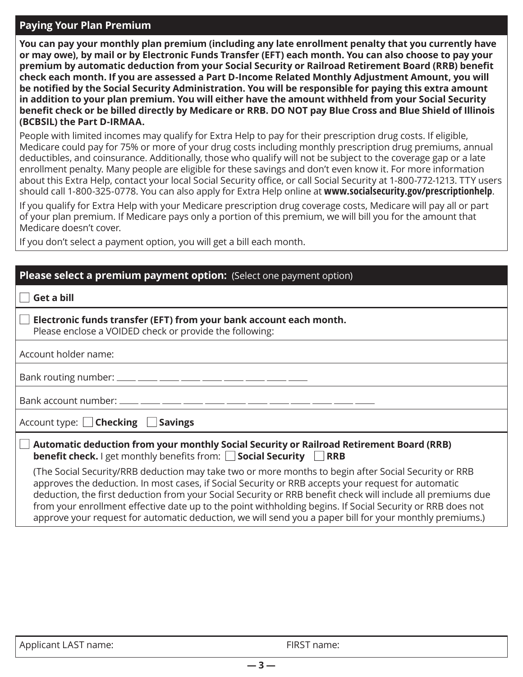#### **Paying Your Plan Premium**

**You can pay your monthly plan premium (including any late enrollment penalty that you currently have or may owe), by mail or by Electronic Funds Transfer (EFT) each month. You can also choose to pay your premium by automatic deduction from your Social Security or Railroad Retirement Board (RRB) benefit check each month. If you are assessed a Part D-Income Related Monthly Adjustment Amount, you will be notified by the Social Security Administration. You will be responsible for paying this extra amount in addition to your plan premium. You will either have the amount withheld from your Social Security benefit check or be billed directly by Medicare or RRB. DO NOT pay Blue Cross and Blue Shield of Illinois (BCBSIL) the Part D-IRMAA.** 

People with limited incomes may qualify for Extra Help to pay for their prescription drug costs. If eligible, Medicare could pay for 75% or more of your drug costs including monthly prescription drug premiums, annual deductibles, and coinsurance. Additionally, those who qualify will not be subject to the coverage gap or a late enrollment penalty. Many people are eligible for these savings and don't even know it. For more information about this Extra Help, contact your local Social Security office, or call Social Security at 1-800-772-1213. TTY users should call 1-800-325-0778. You can also apply for Extra Help online at **[www.socialsecurity.gov/prescriptionhelp](http://www.socialsecurity.gov/prescriptionhelp)**.

If you qualify for Extra Help with your Medicare prescription drug coverage costs, Medicare will pay all or part of your plan premium. If Medicare pays only a portion of this premium, we will bill you for the amount that Medicare doesn't cover.

If you don't select a payment option, you will get a bill each month.

| Please select a premium payment option: (Select one payment option)                                                                                                                                                                                                                                                                                                                                                                      |  |  |  |  |
|------------------------------------------------------------------------------------------------------------------------------------------------------------------------------------------------------------------------------------------------------------------------------------------------------------------------------------------------------------------------------------------------------------------------------------------|--|--|--|--|
| Get a bill                                                                                                                                                                                                                                                                                                                                                                                                                               |  |  |  |  |
| Electronic funds transfer (EFT) from your bank account each month.<br>Please enclose a VOIDED check or provide the following:                                                                                                                                                                                                                                                                                                            |  |  |  |  |
| Account holder name:                                                                                                                                                                                                                                                                                                                                                                                                                     |  |  |  |  |
|                                                                                                                                                                                                                                                                                                                                                                                                                                          |  |  |  |  |
|                                                                                                                                                                                                                                                                                                                                                                                                                                          |  |  |  |  |
| Account type: $\Box$ Checking $\Box$ Savings                                                                                                                                                                                                                                                                                                                                                                                             |  |  |  |  |
| Automatic deduction from your monthly Social Security or Railroad Retirement Board (RRB)<br><b>benefit check.</b> I get monthly benefits from: Social Security RRB                                                                                                                                                                                                                                                                       |  |  |  |  |
| (The Social Security/RRB deduction may take two or more months to begin after Social Security or RRB<br>approves the deduction. In most cases, if Social Security or RRB accepts your request for automatic<br>deduction, the first deduction from your Social Security or RRB benefit check will include all premiums due<br>from your enrollment effective date up to the point withholding begins. If Social Security or RRB does not |  |  |  |  |

approve your request for automatic deduction, we will send you a paper bill for your monthly premiums.)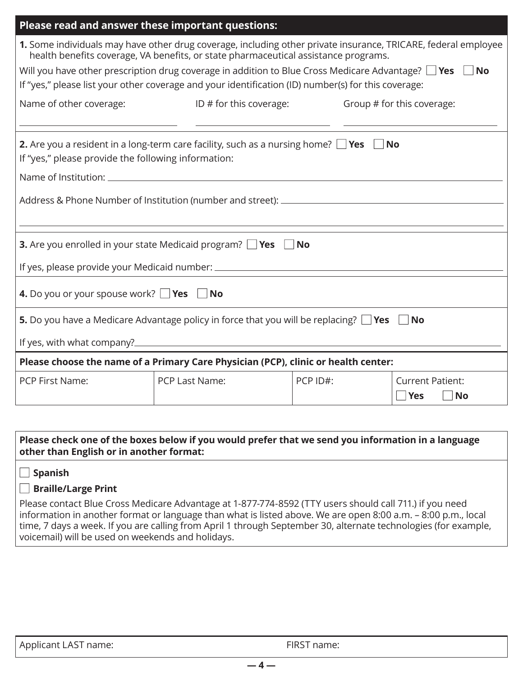| Please read and answer these important questions:                                                                                                                                                              |                           |          |                                              |  |  |  |
|----------------------------------------------------------------------------------------------------------------------------------------------------------------------------------------------------------------|---------------------------|----------|----------------------------------------------|--|--|--|
| 1. Some individuals may have other drug coverage, including other private insurance, TRICARE, federal employee<br>health benefits coverage, VA benefits, or state pharmaceutical assistance programs.          |                           |          |                                              |  |  |  |
| Will you have other prescription drug coverage in addition to Blue Cross Medicare Advantage? $\Box$ Yes<br>If "yes," please list your other coverage and your identification (ID) number(s) for this coverage: |                           |          | <b>No</b>                                    |  |  |  |
|                                                                                                                                                                                                                |                           |          |                                              |  |  |  |
| Name of other coverage:                                                                                                                                                                                        | ID $#$ for this coverage: |          | Group # for this coverage:                   |  |  |  |
|                                                                                                                                                                                                                |                           |          |                                              |  |  |  |
| <b>2.</b> Are you a resident in a long-term care facility, such as a nursing home? $\Box$ Yes<br>If "yes," please provide the following information:                                                           |                           |          | <b>No</b>                                    |  |  |  |
|                                                                                                                                                                                                                |                           |          |                                              |  |  |  |
|                                                                                                                                                                                                                |                           |          |                                              |  |  |  |
| <b>3.</b> Are you enrolled in your state Medicaid program? $\Box$ <b>Yes</b><br><b>No</b>                                                                                                                      |                           |          |                                              |  |  |  |
| If yes, please provide your Medicaid number: ___________________________________                                                                                                                               |                           |          |                                              |  |  |  |
| <b>4.</b> Do you or your spouse work? $\Box$ <b>Yes</b> $\Box$ <b>No</b>                                                                                                                                       |                           |          |                                              |  |  |  |
| <b>5.</b> Do you have a Medicare Advantage policy in force that you will be replacing? $\Box$ Yes<br>No                                                                                                        |                           |          |                                              |  |  |  |
|                                                                                                                                                                                                                |                           |          |                                              |  |  |  |
| Please choose the name of a Primary Care Physician (PCP), clinic or health center:                                                                                                                             |                           |          |                                              |  |  |  |
| <b>PCP First Name:</b>                                                                                                                                                                                         | PCP Last Name:            | PCP ID#: | <b>Current Patient:</b><br> Yes<br><b>No</b> |  |  |  |

**Please check one of the boxes below if you would prefer that we send you information in a language other than English or in another format:** 

## ■ **Spanish**

## ■ **Braille/Large Print**

Please contact Blue Cross Medicare Advantage at 1-877-774-8592 (TTY users should call 711.) if you need information in another format or language than what is listed above. We are open 8:00 a.m. – 8:00 p.m., local time, 7 days a week. If you are calling from April 1 through September 30, alternate technologies (for example, voicemail) will be used on weekends and holidays.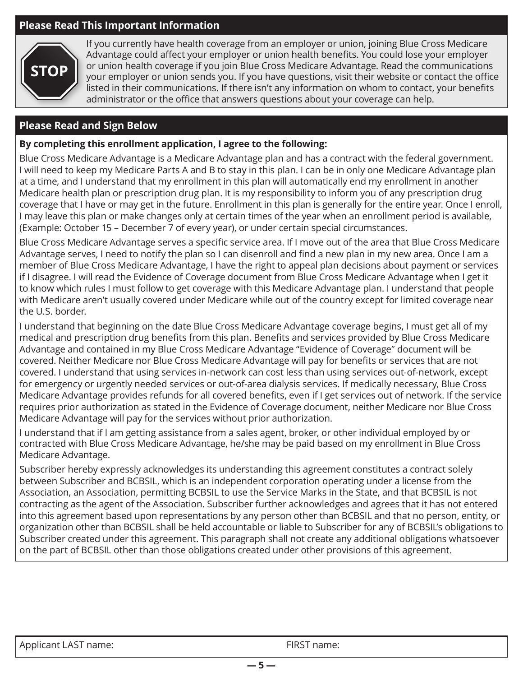### **Please Read This Important Information**



If you currently have health coverage from an employer or union, joining Blue Cross Medicare Advantage could affect your employer or union health benefits. You could lose your employer or union health coverage if you join Blue Cross Medicare Advantage. Read the communications your employer or union sends you. If you have questions, visit their website or contact the office listed in their communications. If there isn't any information on whom to contact, your benefits administrator or the office that answers questions about your coverage can help.

#### **Please Read and Sign Below**

#### **By completing this enrollment application, I agree to the following:**

Blue Cross Medicare Advantage is a Medicare Advantage plan and has a contract with the federal government. I will need to keep my Medicare Parts A and B to stay in this plan. I can be in only one Medicare Advantage plan at a time, and I understand that my enrollment in this plan will automatically end my enrollment in another Medicare health plan or prescription drug plan. It is my responsibility to inform you of any prescription drug coverage that I have or may get in the future. Enrollment in this plan is generally for the entire year. Once I enroll, I may leave this plan or make changes only at certain times of the year when an enrollment period is available, (Example: October 15 – December 7 of every year), or under certain special circumstances.

Blue Cross Medicare Advantage serves a specific service area. If I move out of the area that Blue Cross Medicare Advantage serves, I need to notify the plan so I can disenroll and find a new plan in my new area. Once I am a member of Blue Cross Medicare Advantage, I have the right to appeal plan decisions about payment or services if I disagree. I will read the Evidence of Coverage document from Blue Cross Medicare Advantage when I get it to know which rules I must follow to get coverage with this Medicare Advantage plan. I understand that people with Medicare aren't usually covered under Medicare while out of the country except for limited coverage near the U.S. border.

I understand that beginning on the date Blue Cross Medicare Advantage coverage begins, I must get all of my medical and prescription drug benefits from this plan. Benefits and services provided by Blue Cross Medicare Advantage and contained in my Blue Cross Medicare Advantage "Evidence of Coverage" document will be covered. Neither Medicare nor Blue Cross Medicare Advantage will pay for benefits or services that are not covered. I understand that using services in-network can cost less than using services out-of-network, except for emergency or urgently needed services or out-of-area dialysis services. If medically necessary, Blue Cross Medicare Advantage provides refunds for all covered benefits, even if I get services out of network. If the service requires prior authorization as stated in the Evidence of Coverage document, neither Medicare nor Blue Cross Medicare Advantage will pay for the services without prior authorization.

I understand that if I am getting assistance from a sales agent, broker, or other individual employed by or contracted with Blue Cross Medicare Advantage, he/she may be paid based on my enrollment in Blue Cross Medicare Advantage.

Subscriber hereby expressly acknowledges its understanding this agreement constitutes a contract solely between Subscriber and BCBSIL, which is an independent corporation operating under a license from the Association, an Association, permitting BCBSIL to use the Service Marks in the State, and that BCBSIL is not contracting as the agent of the Association. Subscriber further acknowledges and agrees that it has not entered into this agreement based upon representations by any person other than BCBSIL and that no person, entity, or organization other than BCBSIL shall be held accountable or liable to Subscriber for any of BCBSIL's obligations to Subscriber created under this agreement. This paragraph shall not create any additional obligations whatsoever on the part of BCBSIL other than those obligations created under other provisions of this agreement.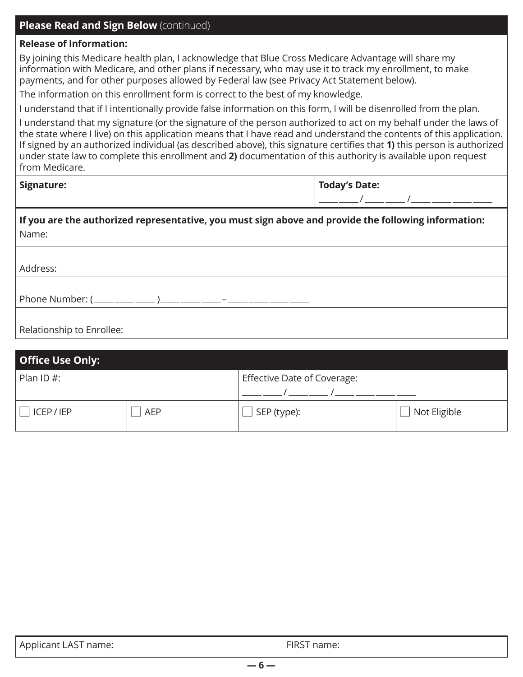| <b>Please Read and Sign Below (continued)</b>                                                                                                                                                                                                                                                                                                                                                                                                                                                                                                                                                                                                                                                                                                                                                                                                                                                                                                                                                                                                                 |                                                                                                                                                                                                                                                                                                                                                                                                                                                         |
|---------------------------------------------------------------------------------------------------------------------------------------------------------------------------------------------------------------------------------------------------------------------------------------------------------------------------------------------------------------------------------------------------------------------------------------------------------------------------------------------------------------------------------------------------------------------------------------------------------------------------------------------------------------------------------------------------------------------------------------------------------------------------------------------------------------------------------------------------------------------------------------------------------------------------------------------------------------------------------------------------------------------------------------------------------------|---------------------------------------------------------------------------------------------------------------------------------------------------------------------------------------------------------------------------------------------------------------------------------------------------------------------------------------------------------------------------------------------------------------------------------------------------------|
| <b>Release of Information:</b><br>By joining this Medicare health plan, I acknowledge that Blue Cross Medicare Advantage will share my<br>information with Medicare, and other plans if necessary, who may use it to track my enrollment, to make<br>payments, and for other purposes allowed by Federal law (see Privacy Act Statement below).<br>The information on this enrollment form is correct to the best of my knowledge.<br>I understand that if I intentionally provide false information on this form, I will be disenrolled from the plan.<br>I understand that my signature (or the signature of the person authorized to act on my behalf under the laws of<br>the state where I live) on this application means that I have read and understand the contents of this application.<br>If signed by an authorized individual (as described above), this signature certifies that 1) this person is authorized<br>under state law to complete this enrollment and 2) documentation of this authority is available upon request<br>from Medicare. |                                                                                                                                                                                                                                                                                                                                                                                                                                                         |
| Signature:                                                                                                                                                                                                                                                                                                                                                                                                                                                                                                                                                                                                                                                                                                                                                                                                                                                                                                                                                                                                                                                    | <b>Today's Date:</b><br>$\frac{1}{\sqrt{1-\frac{1}{2}}}\frac{1}{\sqrt{1-\frac{1}{2}}}\frac{1}{\sqrt{1-\frac{1}{2}}}\frac{1}{\sqrt{1-\frac{1}{2}}}\frac{1}{\sqrt{1-\frac{1}{2}}}\frac{1}{\sqrt{1-\frac{1}{2}}}\frac{1}{\sqrt{1-\frac{1}{2}}}\frac{1}{\sqrt{1-\frac{1}{2}}}\frac{1}{\sqrt{1-\frac{1}{2}}}\frac{1}{\sqrt{1-\frac{1}{2}}}\frac{1}{\sqrt{1-\frac{1}{2}}}\frac{1}{\sqrt{1-\frac{1}{2}}}\frac{1}{\sqrt{1-\frac{1}{2}}}\frac{1}{\sqrt{1-\frac{$ |
| If you are the authorized representative, you must sign above and provide the following information:<br>Name:                                                                                                                                                                                                                                                                                                                                                                                                                                                                                                                                                                                                                                                                                                                                                                                                                                                                                                                                                 |                                                                                                                                                                                                                                                                                                                                                                                                                                                         |
| Address:                                                                                                                                                                                                                                                                                                                                                                                                                                                                                                                                                                                                                                                                                                                                                                                                                                                                                                                                                                                                                                                      |                                                                                                                                                                                                                                                                                                                                                                                                                                                         |
| Phone Number: (____ ___ ___ )____ _____ -___ -____ ____ ____ ____                                                                                                                                                                                                                                                                                                                                                                                                                                                                                                                                                                                                                                                                                                                                                                                                                                                                                                                                                                                             |                                                                                                                                                                                                                                                                                                                                                                                                                                                         |
| Relationship to Enrollee:                                                                                                                                                                                                                                                                                                                                                                                                                                                                                                                                                                                                                                                                                                                                                                                                                                                                                                                                                                                                                                     |                                                                                                                                                                                                                                                                                                                                                                                                                                                         |
| <b>Office Use Only:</b>                                                                                                                                                                                                                                                                                                                                                                                                                                                                                                                                                                                                                                                                                                                                                                                                                                                                                                                                                                                                                                       |                                                                                                                                                                                                                                                                                                                                                                                                                                                         |
| Plan ID $\#$ :                                                                                                                                                                                                                                                                                                                                                                                                                                                                                                                                                                                                                                                                                                                                                                                                                                                                                                                                                                                                                                                | <b>Effective Date of Coverage:</b>                                                                                                                                                                                                                                                                                                                                                                                                                      |

| Plan ID $\#$ : |     | Effective Date of Coverage: |              |  |  |
|----------------|-----|-----------------------------|--------------|--|--|
| ICEP/IEP       | AEP | SEP (type):                 | Not Eligible |  |  |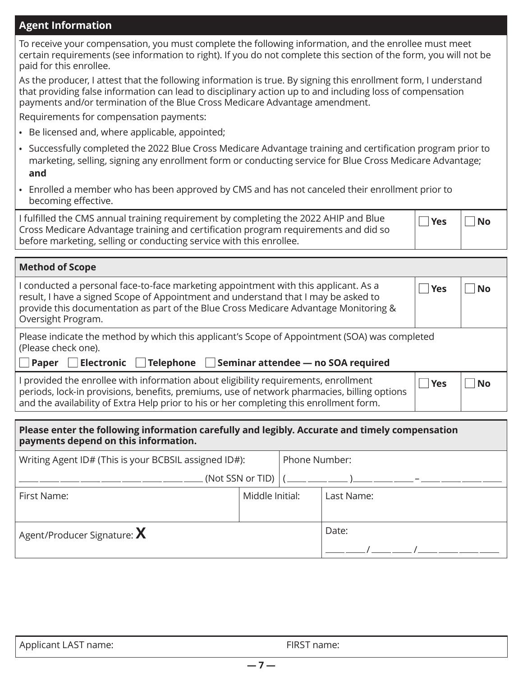#### **Agent Information**

**Method of Scope** 

To receive your compensation, you must complete the following information, and the enrollee must meet certain requirements (see information to right). If you do not complete this section of the form, you will not be paid for this enrollee.

As the producer, I attest that the following information is true. By signing this enrollment form, I understand that providing false information can lead to disciplinary action up to and including loss of compensation payments and/or termination of the Blue Cross Medicare Advantage amendment.

Requirements for compensation payments:

- **•** Be licensed and, where applicable, appointed;
- **•** Successfully completed the 2022 Blue Cross Medicare Advantage training and certification program prior to marketing, selling, signing any enrollment form or conducting service for Blue Cross Medicare Advantage; **and**
- **•** Enrolled a member who has been approved by CMS and has not canceled their enrollment prior to becoming effective.

 $\Box$ I fulfilled the CMS annual training requirement by completing the 2022 AHIP and Blue Cross Medicare Advantage training and certification program requirements and did so before marketing, selling or conducting service with this enrollee.

| <b>Yes</b> | $\overline{\phantom{a}}$ No |
|------------|-----------------------------|
|            |                             |

| <b>NIGLITION OF SCOPE</b>                                                                                                                                                                                                                                                               |                |           |  |  |
|-----------------------------------------------------------------------------------------------------------------------------------------------------------------------------------------------------------------------------------------------------------------------------------------|----------------|-----------|--|--|
| I conducted a personal face-to-face marketing appointment with this applicant. As a<br>result, I have a signed Scope of Appointment and understand that I may be asked to<br>provide this documentation as part of the Blue Cross Medicare Advantage Monitoring &<br>Oversight Program. | $\mathsf{Yes}$ | <b>No</b> |  |  |
| Please indicate the method by which this applicant's Scope of Appointment (SOA) was completed<br>(Please check one).                                                                                                                                                                    |                |           |  |  |
| $\Box$ Paper $\Box$ Electronic $\Box$ Telephone $\Box$ Seminar attendee — no SOA required                                                                                                                                                                                               |                |           |  |  |
| I provided the enrollee with information about eligibility requirements, enrollment<br>periods, lock-in provisions, benefits, premiums, use of network pharmacies, billing options<br>and the availability of Extra Help prior to his or her completing this enrollment form.           | Yes            | No        |  |  |

| Please enter the following information carefully and legibly. Accurate and timely compensation<br>payments depend on this information. |  |                |  |  |  |
|----------------------------------------------------------------------------------------------------------------------------------------|--|----------------|--|--|--|
| Writing Agent ID# (This is your BCBSIL assigned ID#):                                                                                  |  | Phone Number:  |  |  |  |
| $\left(\right)$ (Not SSN or TID) $\left  \right $                                                                                      |  | $\overline{a}$ |  |  |  |
| Middle Initial:                                                                                                                        |  | Last Name:     |  |  |  |
|                                                                                                                                        |  | Date:          |  |  |  |
|                                                                                                                                        |  |                |  |  |  |